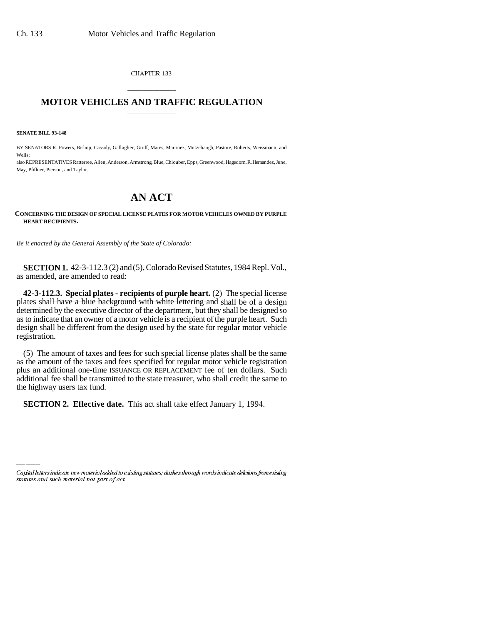CHAPTER 133

## \_\_\_\_\_\_\_\_\_\_\_\_\_\_\_ **MOTOR VEHICLES AND TRAFFIC REGULATION** \_\_\_\_\_\_\_\_\_\_\_\_\_\_\_

**SENATE BILL 93-148**

BY SENATORS R. Powers, Bishop, Cassidy, Gallagher, Groff, Mares, Martinez, Mutzebaugh, Pastore, Roberts, Weissmann, and Wells;

also REPRESENTATIVES Ratterree, Allen, Anderson, Armstrong, Blue, Chlouber, Epps, Greenwood, Hagedorn, R. Hernandez, June, May, Pfiffner, Pierson, and Taylor.

## **AN ACT**

## **CONCERNING THE DESIGN OF SPECIAL LICENSE PLATES FOR MOTOR VEHICLES OWNED BY PURPLE HEART RECIPIENTS.**

*Be it enacted by the General Assembly of the State of Colorado:*

**SECTION 1.** 42-3-112.3 (2) and (5), Colorado Revised Statutes, 1984 Repl. Vol., as amended, are amended to read:

**42-3-112.3. Special plates - recipients of purple heart.** (2) The special license plates shall have a blue background with white lettering and shall be of a design determined by the executive director of the department, but they shall be designed so as to indicate that an owner of a motor vehicle is a recipient of the purple heart. Such design shall be different from the design used by the state for regular motor vehicle registration.

(5) The amount of taxes and fees for such special license plates shall be the same as the amount of the taxes and fees specified for regular motor vehicle registration plus an additional one-time ISSUANCE OR REPLACEMENT fee of ten dollars. Such additional fee shall be transmitted to the state treasurer, who shall credit the same to the highway users tax fund.

 **SECTION 2. Effective date.** This act shall take effect January 1, 1994.

Capital letters indicate new material added to existing statutes; dashes through words indicate deletions from existing statutes and such material not part of act.